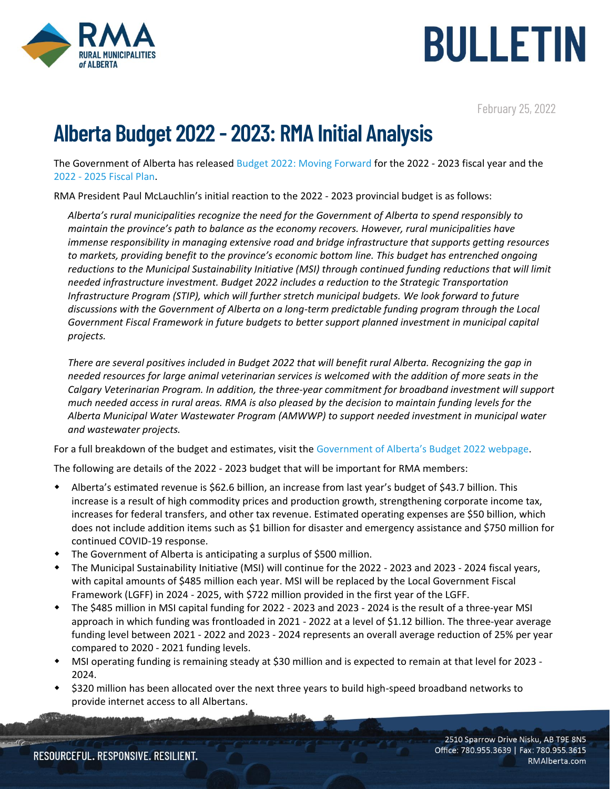



February 25, 2022

## Alberta Budget 2022 - 2023: RMA Initial Analysis

The Government of Alberta has release[d Budget 2022: Moving Forward](https://www.alberta.ca/release.cfm?xID=81973C22BF8F6-C88A-B0F2-164C624F25613DE6) for the 2022 - 2023 fiscal year and the 2022 - 2025 [Fiscal Plan.](https://open.alberta.ca/dataset/6d0f1358-beb5-4bb7-8da1-a350a138039c/resource/36771cab-bee0-44b5-99ad-a03d88da653c/download/budget-2022-fiscal-plan-2022-25.pdf)

RMA President Paul McLauchlin's initial reaction to the 2022 - 2023 provincial budget is as follows:

*Alberta's rural municipalities recognize the need for the Government of Alberta to spend responsibly to maintain the province's path to balance as the economy recovers. However, rural municipalities have immense responsibility in managing extensive road and bridge infrastructure that supports getting resources to markets, providing benefit to the province's economic bottom line. This budget has entrenched ongoing reductions to the Municipal Sustainability Initiative (MSI) through continued funding reductions that will limit needed infrastructure investment. Budget 2022 includes a reduction to the Strategic Transportation Infrastructure Program (STIP), which will further stretch municipal budgets. We look forward to future discussions with the Government of Alberta on a long-term predictable funding program through the Local Government Fiscal Framework in future budgets to better support planned investment in municipal capital projects.* 

*There are several positives included in Budget 2022 that will benefit rural Alberta. Recognizing the gap in needed resources for large animal veterinarian services is welcomed with the addition of more seats in the Calgary Veterinarian Program. In addition, the three-year commitment for broadband investment will support much needed access in rural areas. RMA is also pleased by the decision to maintain funding levels for the Alberta Municipal Water Wastewater Program (AMWWP) to support needed investment in municipal water and wastewater projects.*

For a full breakdown of the budget and estimates, visit the [Government of Alberta's Budget 202](https://www.alberta.ca/budget.aspx)2 webpage.

The following are details of the 2022 - 2023 budget that will be important for RMA members:

- Alberta's estimated revenue is \$62.6 billion, an increase from last year's budget of \$43.7 billion. This increase is a result of high commodity prices and production growth, strengthening corporate income tax, increases for federal transfers, and other tax revenue. Estimated operating expenses are \$50 billion, which does not include addition items such as \$1 billion for disaster and emergency assistance and \$750 million for continued COVID-19 response.
- The Government of Alberta is anticipating a surplus of \$500 million.
- The Municipal Sustainability Initiative (MSI) will continue for the 2022 2023 and 2023 2024 fiscal years, with capital amounts of \$485 million each year. MSI will be replaced by the Local Government Fiscal Framework (LGFF) in 2024 - 2025, with \$722 million provided in the first year of the LGFF.
- The \$485 million in MSI capital funding for 2022 2023 and 2023 2024 is the result of a three-year MSI approach in which funding was frontloaded in 2021 - 2022 at a level of \$1.12 billion. The three-year average funding level between 2021 - 2022 and 2023 - 2024 represents an overall average reduction of 25% per year compared to 2020 - 2021 funding levels.
- MSI operating funding is remaining steady at \$30 million and is expected to remain at that level for 2023 2024.
- \$320 million has been allocated over the next three years to build high-speed broadband networks to provide internet access to all Albertans.